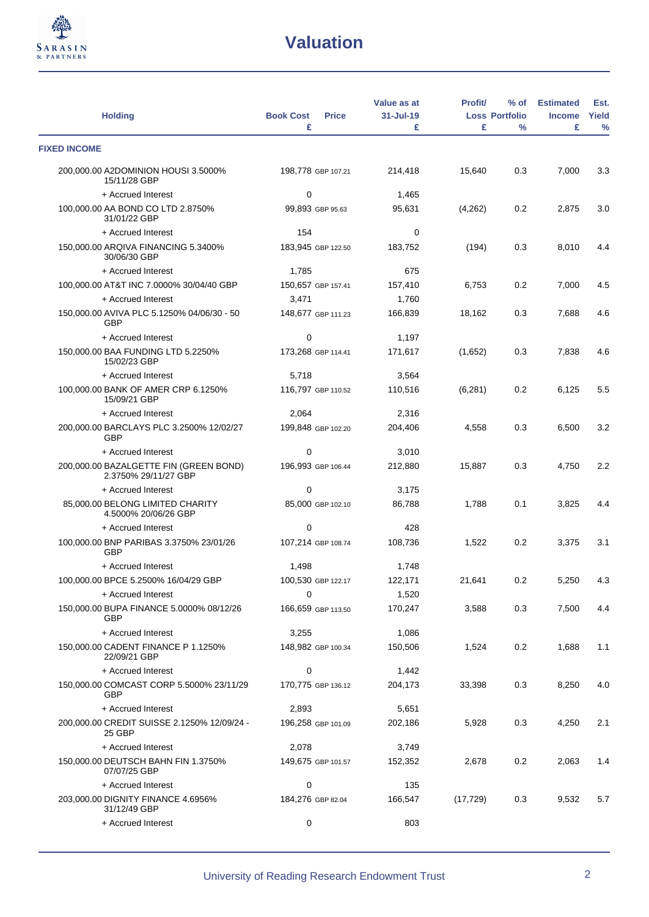

| <b>Holding</b>                                                 | <b>Book Cost</b><br><b>Price</b><br>£ | Value as at<br>31-Jul-19<br>£ | <b>Profit/</b><br>£ | $%$ of<br><b>Loss Portfolio</b><br>$\frac{0}{0}$ | <b>Estimated</b><br><b>Income</b><br>£ | Est.<br>Yield<br>$\%$ |
|----------------------------------------------------------------|---------------------------------------|-------------------------------|---------------------|--------------------------------------------------|----------------------------------------|-----------------------|
| <b>FIXED INCOME</b>                                            |                                       |                               |                     |                                                  |                                        |                       |
| 200,000.00 A2DOMINION HOUSI 3.5000%<br>15/11/28 GBP            | 198,778 GBP 107.21                    | 214,418                       | 15,640              | 0.3                                              | 7,000                                  | 3.3                   |
| + Accrued Interest                                             | 0                                     | 1,465                         |                     |                                                  |                                        |                       |
| 100,000.00 AA BOND CO LTD 2.8750%<br>31/01/22 GBP              | 99,893 GBP 95.63                      | 95,631                        | (4,262)             | 0.2                                              | 2,875                                  | 3.0                   |
| + Accrued Interest                                             | 154                                   | 0                             |                     |                                                  |                                        |                       |
| 150,000.00 ARQIVA FINANCING 5.3400%<br>30/06/30 GBP            | 183,945 GBP 122.50                    | 183,752                       | (194)               | 0.3                                              | 8,010                                  | 4.4                   |
| + Accrued Interest                                             | 1,785                                 | 675                           |                     |                                                  |                                        |                       |
| 100,000.00 AT&T INC 7.0000% 30/04/40 GBP                       | 150,657 GBP 157.41                    | 157,410                       | 6,753               | 0.2                                              | 7,000                                  | 4.5                   |
| + Accrued Interest                                             | 3,471                                 | 1,760                         |                     |                                                  |                                        |                       |
| 150,000.00 AVIVA PLC 5.1250% 04/06/30 - 50<br><b>GBP</b>       | 148,677 GBP 111.23                    | 166,839                       | 18,162              | 0.3                                              | 7,688                                  | 4.6                   |
| + Accrued Interest                                             | $\mathbf 0$                           | 1,197                         |                     |                                                  |                                        |                       |
| 150,000.00 BAA FUNDING LTD 5.2250%<br>15/02/23 GBP             | 173,268 GBP 114.41                    | 171,617                       | (1,652)             | 0.3                                              | 7,838                                  | 4.6                   |
| + Accrued Interest                                             | 5,718                                 | 3,564                         |                     |                                                  |                                        |                       |
| 100,000.00 BANK OF AMER CRP 6.1250%<br>15/09/21 GBP            | 116.797 GBP 110.52                    | 110,516                       | (6, 281)            | 0.2                                              | 6,125                                  | 5.5                   |
| + Accrued Interest                                             | 2,064                                 | 2,316                         |                     |                                                  |                                        |                       |
| 200,000.00 BARCLAYS PLC 3.2500% 12/02/27<br><b>GBP</b>         | 199,848 GBP 102.20                    | 204,406                       | 4,558               | 0.3                                              | 6,500                                  | 3.2                   |
| + Accrued Interest                                             | $\mathbf 0$                           | 3,010                         |                     |                                                  |                                        |                       |
| 200,000.00 BAZALGETTE FIN (GREEN BOND)<br>2.3750% 29/11/27 GBP | 196,993 GBP 106.44                    | 212,880                       | 15,887              | 0.3                                              | 4,750                                  | 2.2                   |
| + Accrued Interest                                             | $\mathbf 0$                           | 3,175                         |                     |                                                  |                                        |                       |
| 85,000.00 BELONG LIMITED CHARITY<br>4.5000% 20/06/26 GBP       | 85,000 GBP 102.10                     | 86,788                        | 1,788               | 0.1                                              | 3,825                                  | 4.4                   |
| + Accrued Interest                                             | $\mathbf 0$                           | 428                           |                     |                                                  |                                        |                       |
| 100,000.00 BNP PARIBAS 3.3750% 23/01/26<br><b>GBP</b>          | 107,214 GBP 108.74                    | 108,736                       | 1,522               | 0.2                                              | 3,375                                  | 3.1                   |
| + Accrued Interest                                             | 1,498                                 | 1,748                         |                     |                                                  |                                        |                       |
| 100,000.00 BPCE 5.2500% 16/04/29 GBP                           | 100,530 GBP 122.17                    | 122,171                       | 21,641              | $0.2\,$                                          | 5,250                                  | 4.3                   |
| + Accrued Interest                                             | 0                                     | 1,520                         |                     |                                                  |                                        |                       |
| 150,000.00 BUPA FINANCE 5.0000% 08/12/26<br><b>GBP</b>         | 166,659 GBP 113.50                    | 170,247                       | 3,588               | 0.3                                              | 7,500                                  | 4.4                   |
| + Accrued Interest                                             | 3,255                                 | 1,086                         |                     |                                                  |                                        |                       |
| 150,000.00 CADENT FINANCE P 1.1250%<br>22/09/21 GBP            | 148,982 GBP 100.34                    | 150,506                       | 1,524               | 0.2                                              | 1,688                                  | 1.1                   |
| + Accrued Interest                                             | 0                                     | 1,442                         |                     |                                                  |                                        |                       |
| 150,000.00 COMCAST CORP 5.5000% 23/11/29<br><b>GBP</b>         | 170,775 GBP 136.12                    | 204,173                       | 33,398              | 0.3                                              | 8,250                                  | 4.0                   |
| + Accrued Interest                                             | 2,893                                 | 5,651                         |                     |                                                  |                                        |                       |
| 200,000.00 CREDIT SUISSE 2.1250% 12/09/24 -<br>25 GBP          | 196,258 GBP 101.09                    | 202,186                       | 5,928               | 0.3                                              | 4,250                                  | 2.1                   |
| + Accrued Interest                                             | 2,078                                 | 3,749                         |                     |                                                  |                                        |                       |
| 150,000.00 DEUTSCH BAHN FIN 1.3750%<br>07/07/25 GBP            | 149,675 GBP 101.57                    | 152,352                       | 2,678               | 0.2                                              | 2,063                                  | 1.4                   |
| + Accrued Interest                                             | 0                                     | 135                           |                     |                                                  |                                        |                       |
| 203,000.00 DIGNITY FINANCE 4.6956%<br>31/12/49 GBP             | 184,276 GBP 82.04                     | 166,547                       | (17, 729)           | 0.3                                              | 9,532                                  | 5.7                   |
| + Accrued Interest                                             | 0                                     | 803                           |                     |                                                  |                                        |                       |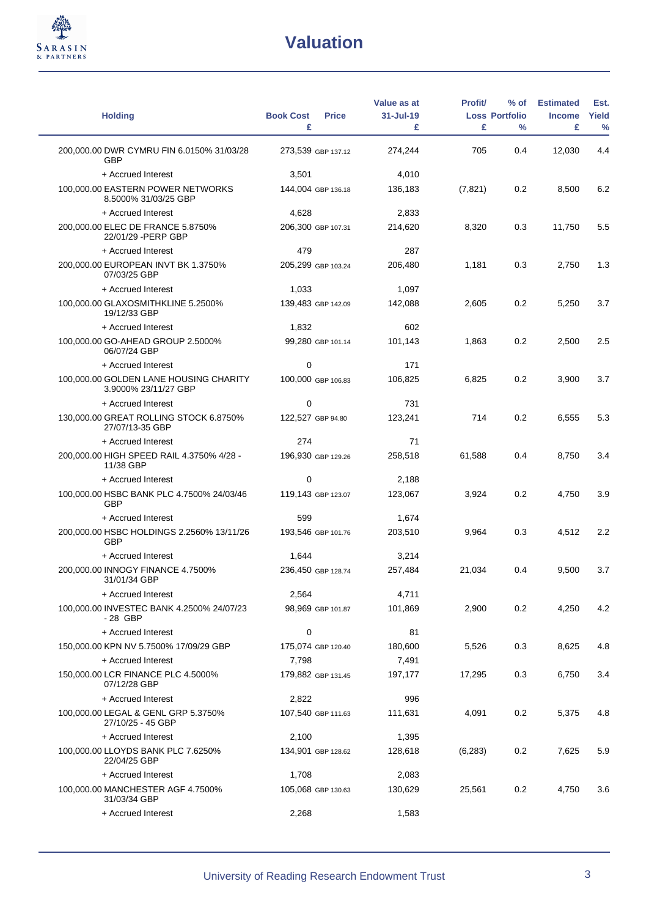

| <b>Holding</b>                                                 | <b>Book Cost</b><br><b>Price</b> | Value as at<br>31-Jul-19 | <b>Profit/</b> | % of<br><b>Loss Portfolio</b> | <b>Estimated</b><br><b>Income</b> | Est.<br>Yield |
|----------------------------------------------------------------|----------------------------------|--------------------------|----------------|-------------------------------|-----------------------------------|---------------|
|                                                                | £                                | £                        | £              | $\frac{0}{0}$                 | £                                 | $\frac{0}{0}$ |
| 200,000.00 DWR CYMRU FIN 6.0150% 31/03/28<br><b>GBP</b>        | 273,539 GBP 137.12               | 274,244                  | 705            | 0.4                           | 12,030                            | 4.4           |
| + Accrued Interest                                             | 3,501                            | 4,010                    |                |                               |                                   |               |
| 100,000.00 EASTERN POWER NETWORKS<br>8.5000% 31/03/25 GBP      | 144,004 GBP 136.18               | 136,183                  | (7,821)        | 0.2                           | 8,500                             | 6.2           |
| + Accrued Interest                                             | 4,628                            | 2,833                    |                |                               |                                   |               |
| 200,000.00 ELEC DE FRANCE 5.8750%<br>22/01/29 - PERP GBP       | 206,300 GBP 107.31               | 214,620                  | 8,320          | 0.3                           | 11,750                            | 5.5           |
| + Accrued Interest                                             | 479                              | 287                      |                |                               |                                   |               |
| 200,000.00 EUROPEAN INVT BK 1.3750%<br>07/03/25 GBP            | 205,299 GBP 103.24               | 206,480                  | 1,181          | 0.3                           | 2,750                             | 1.3           |
| + Accrued Interest                                             | 1,033                            | 1,097                    |                |                               |                                   |               |
| 100,000.00 GLAXOSMITHKLINE 5.2500%<br>19/12/33 GBP             | 139,483 GBP 142.09               | 142,088                  | 2.605          | 0.2                           | 5,250                             | 3.7           |
| + Accrued Interest                                             | 1,832                            | 602                      |                |                               |                                   |               |
| 100,000.00 GO-AHEAD GROUP 2.5000%<br>06/07/24 GBP              | 99,280 GBP 101.14                | 101,143                  | 1,863          | 0.2                           | 2,500                             | 2.5           |
| + Accrued Interest                                             | 0                                | 171                      |                |                               |                                   |               |
| 100,000.00 GOLDEN LANE HOUSING CHARITY<br>3.9000% 23/11/27 GBP | 100,000 GBP 106.83               | 106,825                  | 6,825          | 0.2                           | 3,900                             | 3.7           |
| + Accrued Interest                                             | 0                                | 731                      |                |                               |                                   |               |
| 130,000.00 GREAT ROLLING STOCK 6.8750%<br>27/07/13-35 GBP      | 122,527 GBP 94.80                | 123,241                  | 714            | 0.2                           | 6,555                             | 5.3           |
| + Accrued Interest                                             | 274                              | 71                       |                |                               |                                   |               |
| 200,000.00 HIGH SPEED RAIL 4.3750% 4/28 -<br>11/38 GBP         | 196,930 GBP 129.26               | 258,518                  | 61,588         | 0.4                           | 8,750                             | 3.4           |
| + Accrued Interest                                             | $\mathbf 0$                      | 2,188                    |                |                               |                                   |               |
| 100,000.00 HSBC BANK PLC 4.7500% 24/03/46<br>GBP               | 119,143 GBP 123.07               | 123,067                  | 3,924          | 0.2                           | 4,750                             | 3.9           |
| + Accrued Interest                                             | 599                              | 1,674                    |                |                               |                                   |               |
| 200,000.00 HSBC HOLDINGS 2.2560% 13/11/26<br><b>GBP</b>        | 193,546 GBP 101.76               | 203,510                  | 9,964          | 0.3                           | 4,512                             | 2.2           |
| + Accrued Interest                                             | 1,644                            | 3,214                    |                |                               |                                   |               |
| 200,000.00 INNOGY FINANCE 4.7500%<br>31/01/34 GBP              | 236,450 GBP 128.74               | 257,484                  | 21,034         | 0.4                           | 9,500                             | 3.7           |
| + Accrued Interest                                             | 2,564                            | 4,711                    |                |                               |                                   |               |
| 100,000.00 INVESTEC BANK 4.2500% 24/07/23<br>- 28 GBP          | 98,969 GBP 101.87                | 101,869                  | 2,900          | 0.2                           | 4,250                             | 4.2           |
| + Accrued Interest                                             | 0                                | 81                       |                |                               |                                   |               |
| 150,000.00 KPN NV 5.7500% 17/09/29 GBP                         | 175,074 GBP 120.40               | 180,600                  | 5,526          | 0.3                           | 8,625                             | 4.8           |
| + Accrued Interest                                             | 7,798                            | 7,491                    |                |                               |                                   |               |
| 150,000.00 LCR FINANCE PLC 4.5000%<br>07/12/28 GBP             | 179,882 GBP 131.45               | 197,177                  | 17,295         | 0.3                           | 6,750                             | 3.4           |
| + Accrued Interest                                             | 2,822                            | 996                      |                |                               |                                   |               |
| 100,000.00 LEGAL & GENL GRP 5.3750%<br>27/10/25 - 45 GBP       | 107,540 GBP 111.63               | 111,631                  | 4,091          | 0.2                           | 5,375                             | 4.8           |
| + Accrued Interest                                             | 2,100                            | 1,395                    |                |                               |                                   |               |
| 100,000.00 LLOYDS BANK PLC 7.6250%<br>22/04/25 GBP             | 134,901 GBP 128.62               | 128,618                  | (6,283)        | 0.2                           | 7,625                             | 5.9           |
| + Accrued Interest                                             | 1,708                            | 2,083                    |                |                               |                                   |               |
| 100,000.00 MANCHESTER AGF 4.7500%<br>31/03/34 GBP              | 105,068 GBP 130.63               | 130,629                  | 25,561         | 0.2                           | 4,750                             | 3.6           |
| + Accrued Interest                                             | 2,268                            | 1,583                    |                |                               |                                   |               |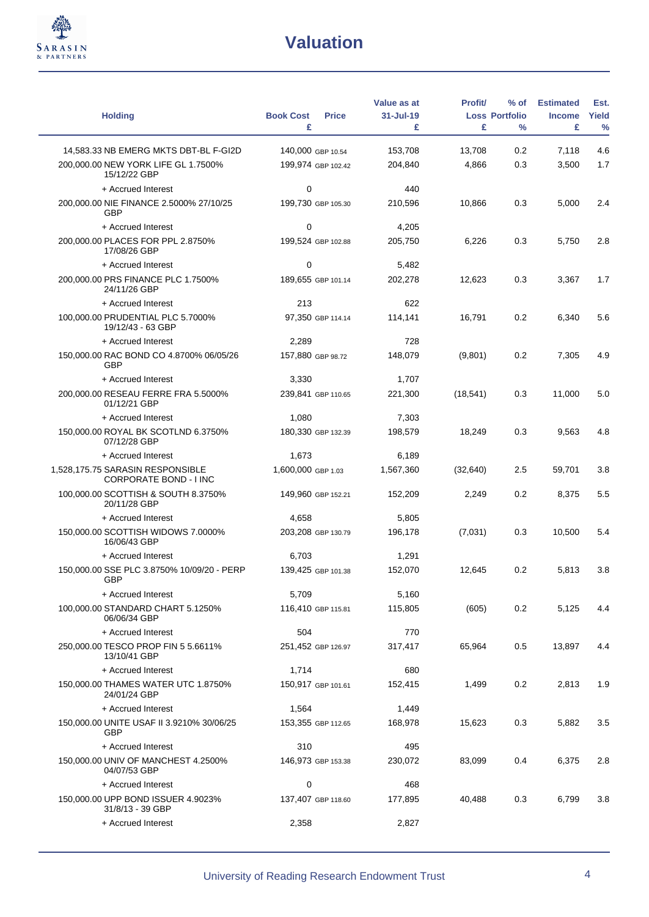

| <b>Holding</b>                                                                               | <b>Book Cost</b><br><b>Price</b><br>£   | Value as at<br>31-Jul-19<br>£ | <b>Profit/</b><br>£ | $%$ of<br><b>Loss Portfolio</b><br>$\frac{0}{0}$ | <b>Estimated</b><br><b>Income</b><br>£ | Est.<br>Yield<br>$\frac{0}{0}$ |
|----------------------------------------------------------------------------------------------|-----------------------------------------|-------------------------------|---------------------|--------------------------------------------------|----------------------------------------|--------------------------------|
|                                                                                              |                                         |                               |                     |                                                  |                                        |                                |
| 14,583.33 NB EMERG MKTS DBT-BL F-GI2D<br>200,000.00 NEW YORK LIFE GL 1.7500%<br>15/12/22 GBP | 140,000 GBP 10.54<br>199,974 GBP 102.42 | 153,708<br>204,840            | 13,708<br>4,866     | 0.2<br>0.3                                       | 7,118<br>3,500                         | 4.6<br>1.7                     |
| + Accrued Interest                                                                           | $\mathbf 0$                             | 440                           |                     |                                                  |                                        |                                |
| 200,000.00 NIE FINANCE 2.5000% 27/10/25<br><b>GBP</b>                                        | 199,730 GBP 105.30                      | 210,596                       | 10,866              | 0.3                                              | 5,000                                  | 2.4                            |
| + Accrued Interest                                                                           | $\mathbf 0$                             | 4,205                         |                     |                                                  |                                        |                                |
| 200,000.00 PLACES FOR PPL 2.8750%<br>17/08/26 GBP                                            | 199,524 GBP 102.88                      | 205,750                       | 6,226               | 0.3                                              | 5,750                                  | 2.8                            |
| + Accrued Interest                                                                           | 0                                       | 5,482                         |                     |                                                  |                                        |                                |
| 200,000.00 PRS FINANCE PLC 1.7500%<br>24/11/26 GBP                                           | 189,655 GBP 101.14                      | 202,278                       | 12,623              | 0.3                                              | 3,367                                  | 1.7                            |
| + Accrued Interest                                                                           | 213                                     | 622                           |                     |                                                  |                                        |                                |
| 100,000.00 PRUDENTIAL PLC 5.7000%<br>19/12/43 - 63 GBP                                       | 97,350 GBP 114.14                       | 114,141                       | 16,791              | 0.2                                              | 6,340                                  | 5.6                            |
| + Accrued Interest                                                                           | 2,289                                   | 728                           |                     |                                                  |                                        |                                |
| 150,000.00 RAC BOND CO 4.8700% 06/05/26<br><b>GBP</b>                                        | 157,880 GBP 98.72                       | 148,079                       | (9,801)             | 0.2                                              | 7,305                                  | 4.9                            |
| + Accrued Interest                                                                           | 3,330                                   | 1,707                         |                     |                                                  |                                        |                                |
| 200,000.00 RESEAU FERRE FRA 5.5000%<br>01/12/21 GBP                                          | 239,841 GBP 110.65                      | 221,300                       | (18, 541)           | 0.3                                              | 11,000                                 | 5.0                            |
| + Accrued Interest                                                                           | 1,080                                   | 7,303                         |                     |                                                  |                                        |                                |
| 150,000.00 ROYAL BK SCOTLND 6.3750%<br>07/12/28 GBP                                          | 180,330 GBP 132.39                      | 198,579                       | 18,249              | 0.3                                              | 9,563                                  | 4.8                            |
| + Accrued Interest                                                                           | 1,673                                   | 6,189                         |                     |                                                  |                                        |                                |
| 1,528,175.75 SARASIN RESPONSIBLE<br>CORPORATE BOND - I INC                                   | 1,600,000 GBP 1.03                      | 1,567,360                     | (32, 640)           | 2.5                                              | 59,701                                 | 3.8                            |
| 100,000.00 SCOTTISH & SOUTH 8.3750%<br>20/11/28 GBP                                          | 149,960 GBP 152.21                      | 152,209                       | 2,249               | 0.2                                              | 8,375                                  | 5.5                            |
| + Accrued Interest                                                                           | 4,658                                   | 5,805                         |                     |                                                  |                                        |                                |
| 150,000.00 SCOTTISH WIDOWS 7.0000%<br>16/06/43 GBP                                           | 203,208 GBP 130.79                      | 196,178                       | (7,031)             | 0.3                                              | 10,500                                 | 5.4                            |
| + Accrued Interest                                                                           | 6,703                                   | 1,291                         |                     |                                                  |                                        |                                |
| 150,000.00 SSE PLC 3.8750% 10/09/20 - PERP<br>GBP                                            | 139,425 GBP 101.38                      | 152,070                       | 12,645              | 0.2                                              | 5,813                                  | 3.8                            |
| + Accrued Interest                                                                           | 5,709                                   | 5,160                         |                     |                                                  |                                        |                                |
| 100,000.00 STANDARD CHART 5.1250%<br>06/06/34 GBP                                            | 116,410 GBP 115.81                      | 115,805                       | (605)               | 0.2                                              | 5,125                                  | 4.4                            |
| + Accrued Interest                                                                           | 504                                     | 770                           |                     |                                                  |                                        |                                |
| 250,000.00 TESCO PROP FIN 5 5.6611%<br>13/10/41 GBP                                          | 251,452 GBP 126.97                      | 317,417                       | 65,964              | 0.5                                              | 13,897                                 | 4.4                            |
| + Accrued Interest                                                                           | 1,714                                   | 680                           |                     |                                                  |                                        |                                |
| 150,000.00 THAMES WATER UTC 1.8750%<br>24/01/24 GBP                                          | 150,917 GBP 101.61                      | 152,415                       | 1,499               | 0.2                                              | 2,813                                  | 1.9                            |
| + Accrued Interest                                                                           | 1,564                                   | 1,449                         |                     |                                                  |                                        |                                |
| 150,000.00 UNITE USAF II 3.9210% 30/06/25<br>GBP                                             | 153,355 GBP 112.65                      | 168,978                       | 15,623              | 0.3                                              | 5,882                                  | 3.5                            |
| + Accrued Interest                                                                           | 310                                     | 495                           |                     |                                                  |                                        |                                |
| 150,000.00 UNIV OF MANCHEST 4.2500%<br>04/07/53 GBP                                          | 146,973 GBP 153.38                      | 230,072                       | 83,099              | 0.4                                              | 6,375                                  | 2.8                            |
| + Accrued Interest                                                                           | 0                                       | 468                           |                     |                                                  |                                        |                                |
| 150,000.00 UPP BOND ISSUER 4.9023%<br>31/8/13 - 39 GBP                                       | 137,407 GBP 118.60                      | 177,895                       | 40,488              | 0.3                                              | 6,799                                  | 3.8                            |
| + Accrued Interest                                                                           | 2,358                                   | 2,827                         |                     |                                                  |                                        |                                |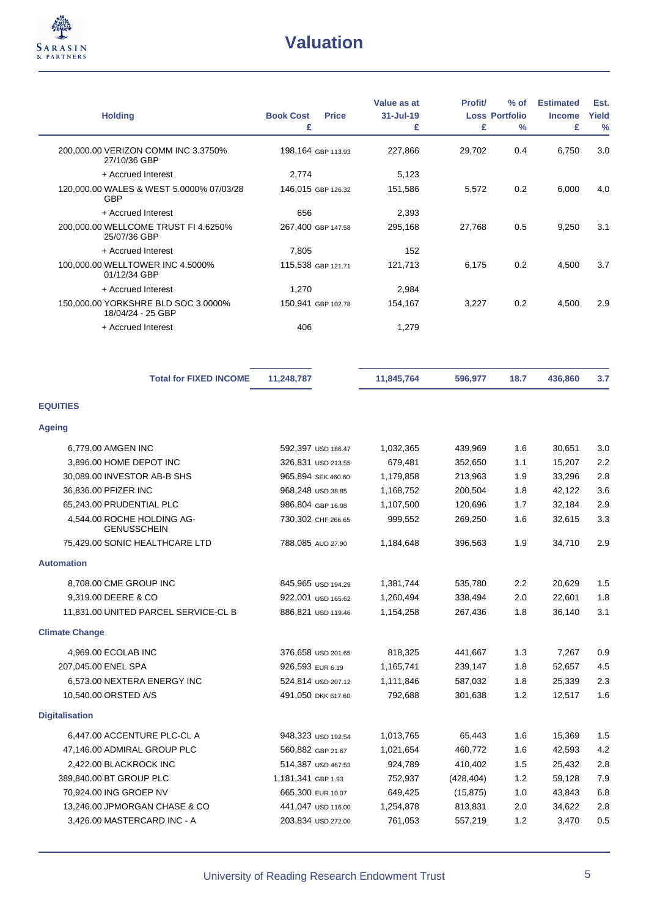

| <b>Holding</b>                                           | <b>Book Cost</b><br><b>Price</b><br>£ | Value as at<br>$31 -$ Jul-19<br>£ | <b>Profit</b><br>£ | $%$ of<br><b>Loss Portfolio</b><br>$\%$ | <b>Estimated</b><br><b>Income</b><br>£ | Est.<br>Yield<br>$\frac{0}{0}$ |
|----------------------------------------------------------|---------------------------------------|-----------------------------------|--------------------|-----------------------------------------|----------------------------------------|--------------------------------|
| 200,000.00 VERIZON COMM INC 3.3750%<br>27/10/36 GBP      | 198,164 GBP 113.93                    | 227,866                           | 29,702             | 0.4                                     | 6,750                                  | 3.0                            |
| + Accrued Interest                                       | 2,774                                 | 5,123                             |                    |                                         |                                        |                                |
| 120,000.00 WALES & WEST 5.0000% 07/03/28<br><b>GBP</b>   | 146,015 GBP 126.32                    | 151,586                           | 5,572              | 0.2                                     | 6,000                                  | 4.0                            |
| + Accrued Interest                                       | 656                                   | 2,393                             |                    |                                         |                                        |                                |
| 200.000.00 WELLCOME TRUST FI 4.6250%<br>25/07/36 GBP     | 267,400 GBP 147.58                    | 295,168                           | 27,768             | 0.5                                     | 9,250                                  | 3.1                            |
| + Accrued Interest                                       | 7,805                                 | 152                               |                    |                                         |                                        |                                |
| 100,000.00 WELLTOWER INC 4.5000%<br>01/12/34 GBP         | 115,538 GBP 121.71                    | 121,713                           | 6,175              | 0.2                                     | 4,500                                  | 3.7                            |
| + Accrued Interest                                       | 1,270                                 | 2,984                             |                    |                                         |                                        |                                |
| 150,000.00 YORKSHRE BLD SOC 3.0000%<br>18/04/24 - 25 GBP | 150,941 GBP 102.78                    | 154,167                           | 3,227              | 0.2                                     | 4,500                                  | 2.9                            |
| + Accrued Interest                                       | 406                                   | 1,279                             |                    |                                         |                                        |                                |
| <b>Total for FIXED INCOME</b>                            | 11,248,787                            | 11,845,764                        | 596,977            | 18.7                                    | 436,860                                | 3.7                            |
| <b>EQUITIES</b>                                          |                                       |                                   |                    |                                         |                                        |                                |
| <b>Ageing</b>                                            |                                       |                                   |                    |                                         |                                        |                                |
| 6,779.00 AMGEN INC                                       | 592,397 USD 186.47                    | 1,032,365                         | 439,969            | 1.6                                     | 30,651                                 | 3.0                            |
| 3,896.00 HOME DEPOT INC                                  | 326,831 USD 213.55                    | 679,481                           | 352,650            | 1.1                                     | 15,207                                 | 2.2                            |
| 30,089.00 INVESTOR AB-B SHS                              | 965,894 SEK 460.60                    | 1,179,858                         | 213,963            | 1.9                                     | 33,296                                 | 2.8                            |
| 36,836.00 PFIZER INC                                     | 968,248 USD 38.85                     | 1,168,752                         | 200,504            | 1.8                                     | 42,122                                 | 3.6                            |
| 65,243.00 PRUDENTIAL PLC                                 | 986,804 GBP 16.98                     | 1,107,500                         | 120,696            | 1.7                                     | 32,184                                 | 2.9                            |
| 4,544.00 ROCHE HOLDING AG-<br><b>GENUSSCHEIN</b>         | 730,302 CHF 266.65                    | 999,552                           | 269,250            | 1.6                                     | 32,615                                 | 3.3                            |
| 75,429.00 SONIC HEALTHCARE LTD                           | 788,085 AUD 27.90                     | 1,184,648                         | 396,563            | 1.9                                     | 34,710                                 | 2.9                            |
| <b>Automation</b>                                        |                                       |                                   |                    |                                         |                                        |                                |
| 8,708.00 CME GROUP INC                                   | 845,965 USD 194.29                    | 1,381,744                         | 535,780            | 2.2                                     | 20,629                                 | 1.5                            |
| 9,319.00 DEERE & CO                                      | 922,001 USD 165.62                    | 1,260,494                         | 338,494            | 2.0                                     | 22,601                                 | 1.8                            |
| 11,831.00 UNITED PARCEL SERVICE-CL B                     | 886,821 USD 119.46                    | 1,154,258                         | 267,436            | 1.8                                     | 36,140                                 | 3.1                            |
| <b>Climate Change</b>                                    |                                       |                                   |                    |                                         |                                        |                                |
| 4,969.00 ECOLAB INC                                      | 376,658 USD 201.65                    | 818,325                           | 441,667            | 1.3                                     | 7,267                                  | 0.9                            |
| 207,045.00 ENEL SPA                                      | 926,593 EUR 6.19                      | 1,165,741                         | 239,147            | 1.8                                     | 52,657                                 | 4.5                            |
| 6,573.00 NEXTERA ENERGY INC                              | 524,814 USD 207.12                    | 1,111,846                         | 587,032            | 1.8                                     | 25,339                                 | 2.3                            |
| 10,540.00 ORSTED A/S                                     | 491,050 DKK 617.60                    | 792,688                           | 301,638            | 1.2                                     | 12,517                                 | 1.6                            |
| <b>Digitalisation</b>                                    |                                       |                                   |                    |                                         |                                        |                                |
| 6,447.00 ACCENTURE PLC-CL A                              | 948,323 USD 192.54                    | 1,013,765                         | 65,443             | 1.6                                     | 15,369                                 | 1.5                            |
| 47,146.00 ADMIRAL GROUP PLC                              | 560,882 GBP 21.67                     | 1,021,654                         | 460,772            | 1.6                                     | 42,593                                 | 4.2                            |
| 2,422.00 BLACKROCK INC                                   | 514,387 USD 467.53                    | 924,789                           | 410,402            | 1.5                                     | 25,432                                 | 2.8                            |
| 389,840.00 BT GROUP PLC                                  | 1,181,341 GBP 1.93                    | 752,937                           | (428, 404)         | 1.2                                     | 59,128                                 | 7.9                            |
| 70,924.00 ING GROEP NV                                   | 665,300 EUR 10.07                     | 649,425                           | (15, 875)          | 1.0                                     | 43,843                                 | 6.8                            |
| 13,246.00 JPMORGAN CHASE & CO                            | 441,047 USD 116.00                    | 1,254,878                         | 813,831            | 2.0                                     | 34,622                                 | 2.8                            |
| 3,426.00 MASTERCARD INC - A                              | 203,834 USD 272.00                    | 761,053                           | 557,219            | 1.2                                     | 3,470                                  | 0.5                            |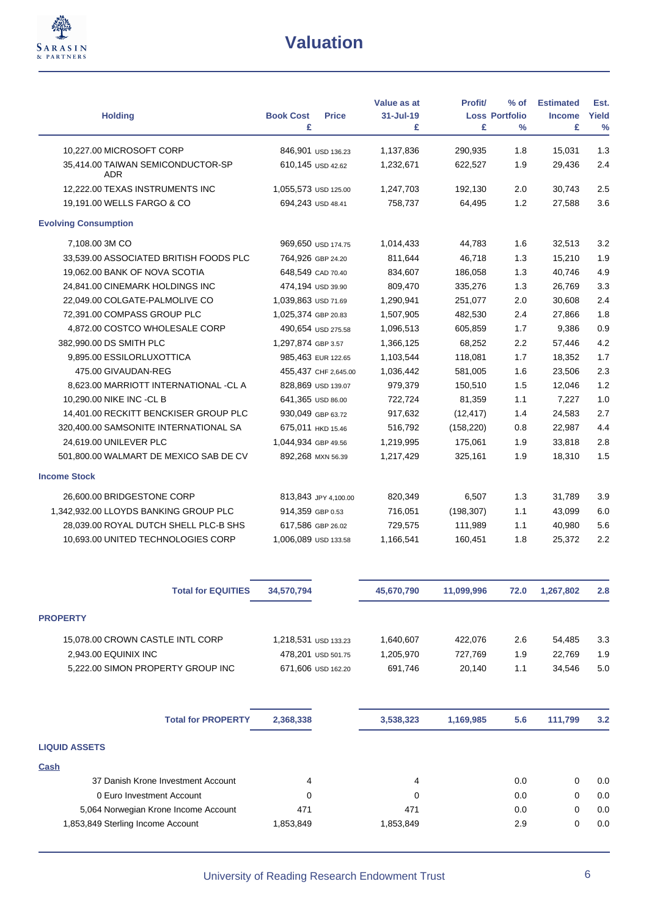

| <b>Holding</b>                           | <b>Book Cost</b><br><b>Price</b> | Value as at<br>31-Jul-19 | <b>Profit/</b> | $%$ of<br><b>Loss Portfolio</b> | <b>Estimated</b><br><b>Income</b> | Est.<br>Yield |
|------------------------------------------|----------------------------------|--------------------------|----------------|---------------------------------|-----------------------------------|---------------|
|                                          | £                                | £                        | £              | $\%$                            | £                                 | $\frac{0}{0}$ |
| 10,227.00 MICROSOFT CORP                 | 846,901 USD 136.23               | 1,137,836                | 290,935        | 1.8                             | 15,031                            | 1.3           |
| 35,414.00 TAIWAN SEMICONDUCTOR-SP<br>ADR | 610,145 USD 42.62                | 1,232,671                | 622,527        | 1.9                             | 29,436                            | 2.4           |
| 12,222.00 TEXAS INSTRUMENTS INC          | 1,055,573 USD 125.00             | 1,247,703                | 192,130        | 2.0                             | 30,743                            | 2.5           |
| 19,191.00 WELLS FARGO & CO               | 694,243 USD 48.41                | 758,737                  | 64,495         | 1.2                             | 27,588                            | 3.6           |
| <b>Evolving Consumption</b>              |                                  |                          |                |                                 |                                   |               |
| 7,108.00 3M CO                           | 969,650 USD 174.75               | 1,014,433                | 44,783         | 1.6                             | 32,513                            | 3.2           |
| 33,539.00 ASSOCIATED BRITISH FOODS PLC   | 764,926 GBP 24.20                | 811,644                  | 46,718         | 1.3                             | 15,210                            | 1.9           |
| 19,062.00 BANK OF NOVA SCOTIA            | 648,549 CAD 70.40                | 834,607                  | 186,058        | 1.3                             | 40,746                            | 4.9           |
| 24,841.00 CINEMARK HOLDINGS INC          | 474,194 USD 39.90                | 809,470                  | 335,276        | 1.3                             | 26,769                            | 3.3           |
| 22,049.00 COLGATE-PALMOLIVE CO           | 1,039,863 USD 71.69              | 1,290,941                | 251,077        | 2.0                             | 30,608                            | 2.4           |
| 72,391.00 COMPASS GROUP PLC              | 1,025,374 GBP 20.83              | 1,507,905                | 482,530        | 2.4                             | 27,866                            | 1.8           |
| 4,872.00 COSTCO WHOLESALE CORP           | 490,654 USD 275.58               | 1,096,513                | 605,859        | 1.7                             | 9,386                             | 0.9           |
| 382,990.00 DS SMITH PLC                  | 1,297,874 GBP 3.57               | 1,366,125                | 68,252         | 2.2                             | 57,446                            | 4.2           |
| 9,895.00 ESSILORLUXOTTICA                | 985,463 EUR 122.65               | 1,103,544                | 118,081        | 1.7                             | 18,352                            | 1.7           |
| 475.00 GIVAUDAN-REG                      | 455,437 CHF 2,645.00             | 1,036,442                | 581,005        | 1.6                             | 23,506                            | 2.3           |
| 8,623.00 MARRIOTT INTERNATIONAL -CL A    | 828,869 USD 139.07               | 979,379                  | 150,510        | 1.5                             | 12,046                            | 1.2           |
| 10,290.00 NIKE INC -CL B                 | 641,365 USD 86.00                | 722,724                  | 81,359         | 1.1                             | 7,227                             | 1.0           |
| 14,401.00 RECKITT BENCKISER GROUP PLC    | 930,049 GBP 63.72                | 917,632                  | (12, 417)      | 1.4                             | 24,583                            | 2.7           |
| 320,400.00 SAMSONITE INTERNATIONAL SA    | 675,011 HKD 15.46                | 516,792                  | (158, 220)     | 0.8                             | 22,987                            | 4.4           |
| 24,619.00 UNILEVER PLC                   | 1,044,934 GBP 49.56              | 1,219,995                | 175,061        | 1.9                             | 33,818                            | 2.8           |
| 501,800.00 WALMART DE MEXICO SAB DE CV   | 892,268 MXN 56.39                | 1,217,429                | 325,161        | 1.9                             | 18,310                            | 1.5           |
| <b>Income Stock</b>                      |                                  |                          |                |                                 |                                   |               |
| 26,600.00 BRIDGESTONE CORP               | 813,843 JPY 4,100.00             | 820,349                  | 6,507          | 1.3                             | 31,789                            | 3.9           |
| 1,342,932.00 LLOYDS BANKING GROUP PLC    | 914,359 GBP 0.53                 | 716,051                  | (198, 307)     | 1.1                             | 43,099                            | 6.0           |
| 28,039.00 ROYAL DUTCH SHELL PLC-B SHS    | 617,586 GBP 26.02                | 729,575                  | 111,989        | 1.1                             | 40,980                            | 5.6           |
| 10,693.00 UNITED TECHNOLOGIES CORP       | 1,006,089 USD 133.58             | 1,166,541                | 160,451        | 1.8                             | 25,372                            | 2.2           |
|                                          |                                  |                          |                |                                 |                                   |               |
| <b>Total for EQUITIES</b>                | 34,570,794                       | 45,670,790               | 11,099,996     | 72.0                            | 1,267,802                         | 2.8           |
| <b>PROPERTY</b>                          |                                  |                          |                |                                 |                                   |               |
| 15,078.00 CROWN CASTLE INTL CORP         | 1,218,531 USD 133.23             | 1,640,607                | 422,076        | 2.6                             | 54,485                            | 3.3           |
| 2,943.00 EQUINIX INC                     | 478,201 USD 501.75               | 1,205,970                | 727,769        | 1.9                             | 22,769                            | 1.9           |
| 5,222.00 SIMON PROPERTY GROUP INC        | 671,606 USD 162.20               | 691,746                  | 20,140         | 1.1                             | 34,546                            | 5.0           |
| <b>Total for PROPERTY</b>                | 2,368,338                        | 3,538,323                | 1,169,985      | 5.6                             | 111,799                           | 3.2           |
|                                          |                                  |                          |                |                                 |                                   |               |
| <b>LIQUID ASSETS</b>                     |                                  |                          |                |                                 |                                   |               |
| <b>Cash</b>                              |                                  |                          |                |                                 |                                   |               |
| 37 Danish Krone Investment Account       | 4                                | 4                        |                | 0.0                             | 0                                 | 0.0           |
| 0 Euro Investment Account                | 0                                | 0                        |                | 0.0                             | 0                                 | 0.0           |
| 5,064 Norwegian Krone Income Account     | 471                              | 471                      |                | 0.0                             | 0                                 | 0.0           |
| 1,853,849 Sterling Income Account        | 1,853,849                        | 1,853,849                |                | 2.9                             | 0                                 | 0.0           |